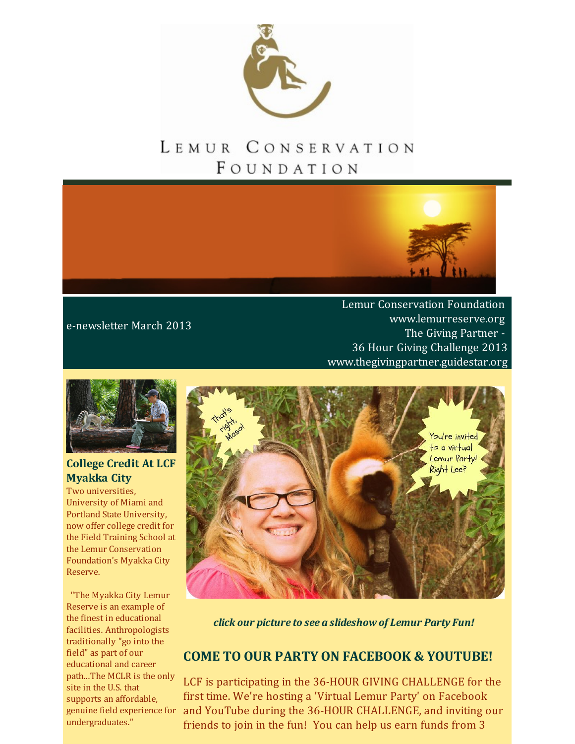

# LEMUR CONSERVATION FOUNDATION



### e-newsletter March 2013

Lemur Conservation Foundation [www.lemurreserve.org](http://www.lemurreserve.org) The Giving Partner - 36 Hour Giving Challenge 2013 [www.thegivingpartner.guidestar.org](http://thegivingpartner.guidestar.org/)



### **College Credit At LCF Myakka City**

Two universities, University of Miami and Portland State University, now offer college credit for the Field Training School at the Lemur Conservation Foundation's Myakka City Reserve.

"The Myakka City Lemur Reserve is an example of the finest in educational facilities. Anthropologists traditionally "go into the field" as part of our educational and career path...The MCLR is the only site in the U.S. that supports an affordable, undergraduates."



*click our picture to see a slideshow of Lemur Party Fun!*

## **COME TO OUR PARTY ON FACEBOOK & YOUTUBE!**

genuine field experience for and YouTube during the 36-HOUR CHALLENGE, and inviting our LCF is participating in the 36-HOUR GIVING CHALLENGE for the first time. We're hosting a 'Virtual Lemur Party' on Facebook friends to join in the fun! You can help us earn funds from 3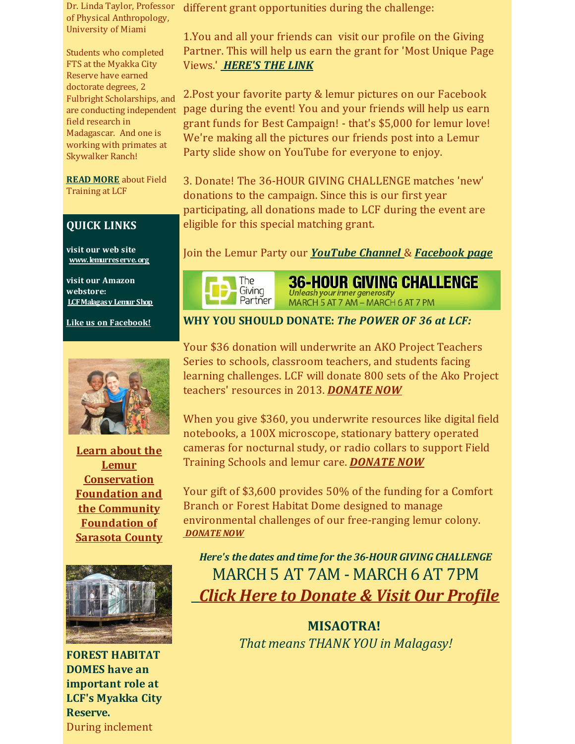Dr. Linda Taylor, Professor of Physical Anthropology, University of Miami

Students who completed FTS at the Myakka City Reserve have earned doctorate degrees, 2 Fulbright Scholarships, and are conducting independent field research in Madagascar. And one is working with primates at Skywalker Ranch!

**READ [MORE](http://www.lemurreserve.org/fieldtrainingprograms.html)** about Field Training at LCF

#### **QUICK LINKS**

**visit our web site [www.lemurreserve.org](http://www.lemurreserve.org)**

**visit our Amazon webstore: [LCFMalagasy](http://r20.rs6.net/tn.jsp?f=001is_T4xfgsg-cTgrI-l_TF0Mucl2VTQFN9augZMbAanNEjvtAlr8wyhaKbkdHZjGySml9HWmnxubgTw51GAGC2EJD-gtA_2Phe-8Z3Ar9svdhw4PDRvlr4ajo1JmEbmwq9EjRrvC9EuqKZ4kNbmoBK8_2Z2EDDigY5TUEOQhcnAN8owFS_e3UgEaNVWbDyH4aNWbUdOPZ2yD1BPfhGK1h1w==&c=&ch=) Lemur Shop**

**Like us on [Facebook!](https://www.facebook.com/LemurConservation?ref=hl)**



**Learn about the Lemur [Conservation](http://thegivingpartner.guidestar.org/) Foundation and the Community Foundation of Sarasota County**



**FOREST HABITAT DOMES have an important role at LCF's Myakka City Reserve.** During inclement

different grant opportunities during the challenge:

1.You and all your friends can visit our profile on the Giving Partner. This will help us earn the grant for 'Most Unique Page Views.' *[HERE'S](https://thegivingpartner.s3.amazonaws.com/index.html) THE LINK*

2.Post your favorite party & lemur pictures on our Facebook page during the event! You and your friends will help us earn grant funds for Best Campaign! - that's \$5,000 for lemur love! We're making all the pictures our friends post into a Lemur Party slide show on YouTube for everyone to enjoy.

3. Donate! The 36-HOUR GIVING CHALLENGE matches 'new' donations to the campaign. Since this is our first year participating, all donations made to LCF during the event are eligible for this special matching grant.

Join the Lemur Party our *[YouTube](http://youtu.be/i2JGLfazUVY) Channel* & *[Facebook](https://www.facebook.com/LemurConservation?fref=ts) page*



36-HOUR GIVING CHALLENGE Unleash your inner generosity MARCH 5 AT 7 AM - MARCH 6 AT 7 PM

**WHY YOU SHOULD DONATE:** *The POWER OF 36 at LCF:*

Your \$36 donation will underwrite an AKO Project Teachers Series to schools, classroom teachers, and students facing learning challenges. LCF will donate 800 sets of the Ako Project teachers' resources in 2013. *[DONATE](https://thegivingpartner.s3.amazonaws.com/index.html) NOW*

When you give \$360, you underwrite resources like digital field notebooks, a 100X microscope, stationary battery operated cameras for nocturnal study, or radio collars to support Field Training Schools and lemur care. *[DONATE](https://thegivingpartner.s3.amazonaws.com/index.html) NOW*

Your gift of \$3,600 provides 50% of the funding for a Comfort Branch or Forest Habitat Dome designed to manage environmental challenges of our free-ranging lemur colony. *[DONATE](https://thegivingpartner.s3.amazonaws.com/index.html) NOW*

*Here's the dates and time for the 36-HOUR GIVING CHALLENGE* MARCH5 AT 7AM - MARCH6 AT 7PM *Click Here to [Donate](https://thegivingpartner.s3.amazonaws.com/index.html) & Visit Our Profile*

> **MISAOTRA!** *That means THANK YOU in Malagasy!*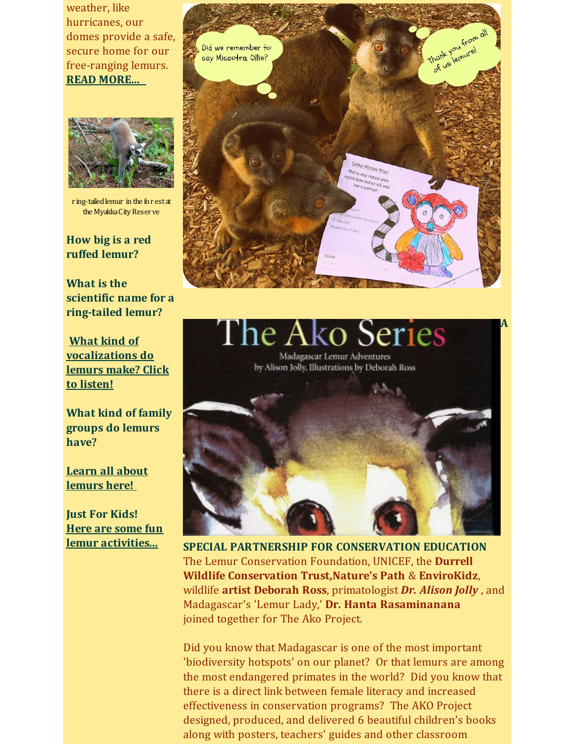weather, like hurricanes, our domes provide a safe, secure home for our free-ranging lemurs. **READ [MORE...](http://wp.me/p2nQeZ-76)**



r ing-tailedlemur in the for estat the Myakka City Reser ve

**How big is a red ruffed lemur?**

**What is the scientific name for a [ring-tailed](http://www.lemurreserve.org/ourcolony.html) lemur?**

**What kind of [vocalizations](http://wp.me/p2nQeZ-iH) do lemurs make? Click to listen!**

**What kind of family [groups](http://www.lemurreserve.org/ourcolony.html) do lemurs have?**

**Learn all about [lemurs](http://www.lemurreserve.org/ourcolony.html) here!**

**Just For Kids! Here are some fun lemur [activities...](http://lcfkidz4lemurs.org/Markslist/site/displaySite.do?siteIdCode=G3OKRSSH)**



ko Series `he A Madagascar Lemur Adventures by Alison Jolly, Illustrations by Deborah Ross

**A**



**SPECIAL PARTNERSHIP FOR CONSERVATION EDUCATION** The Lemur Conservation Foundation, UNICEF, the **Durrell Wildlife Conservation [Trust,Nature's](http://www.durrell.org/) Path** & **[EnviroKidz](https://www.facebook.com/envirokidz?ref=ts&fref=ts)**, wildlife **artist [Deborah](http://www.deborahrossart.com/Welcome.html) Ross**, primatologist *Dr. [Alison](http://en.wikipedia.org/wiki/Alison_Jolly) Jolly* , and Madagascar's 'Lemur Lady,' **Dr. Hanta [Rasaminanana](http://www-personal.umd.umich.edu/%7Efdolins/berenty/scientists/hrasamimanana.html)** joined together for The Ako Project.

Did you know that Madagascar is one of the most important 'biodiversity hotspots' on our planet? Or that lemurs are among the most endangered primates in the world? Did you know that there is a direct link between female literacy and increased effectiveness in conservation programs? The AKO Project designed, produced, and delivered 6 beautiful children's books along with posters, teachers' guides and other classroom